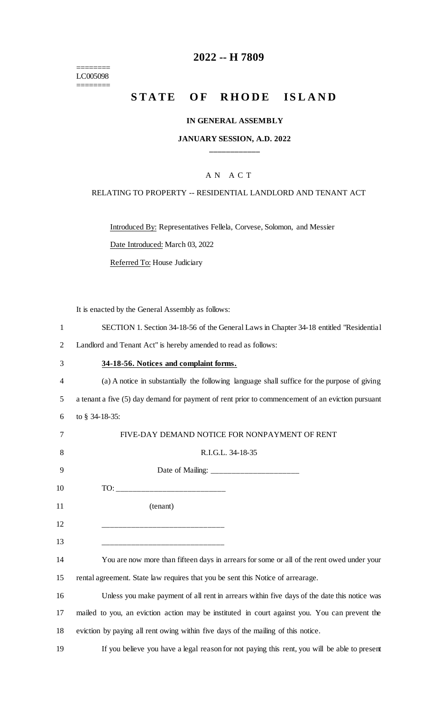======== LC005098 ========

## **2022 -- H 7809**

# **STATE OF RHODE ISLAND**

#### **IN GENERAL ASSEMBLY**

## **JANUARY SESSION, A.D. 2022 \_\_\_\_\_\_\_\_\_\_\_\_**

## A N A C T

#### RELATING TO PROPERTY -- RESIDENTIAL LANDLORD AND TENANT ACT

Introduced By: Representatives Fellela, Corvese, Solomon, and Messier

Date Introduced: March 03, 2022

Referred To: House Judiciary

It is enacted by the General Assembly as follows:

| SECTION 1. Section 34-18-56 of the General Laws in Chapter 34-18 entitled "Residential" |  |  |  |  |  |
|-----------------------------------------------------------------------------------------|--|--|--|--|--|
|                                                                                         |  |  |  |  |  |

2 Landlord and Tenant Act" is hereby amended to read as follows:

#### 3 **34-18-56. Notices and complaint forms.**

4 (a) A notice in substantially the following language shall suffice for the purpose of giving 5 a tenant a five (5) day demand for payment of rent prior to commencement of an eviction pursuant 6 to § 34-18-35:

| 7  | FIVE-DAY DEMAND NOTICE FOR NONPAYMENT OF RENT                                                 |
|----|-----------------------------------------------------------------------------------------------|
| 8  | R.I.G.L. 34-18-35                                                                             |
| 9  |                                                                                               |
| 10 |                                                                                               |
| 11 | (tenant)                                                                                      |
| 12 | ____________________________                                                                  |
| 13 |                                                                                               |
| 14 | You are now more than fifteen days in arrears for some or all of the rent owed under your     |
| 15 | rental agreement. State law requires that you be sent this Notice of arrearage.               |
| 16 | Unless you make payment of all rent in arrears within five days of the date this notice was   |
| 17 | mailed to you, an eviction action may be instituted in court against you. You can prevent the |
| 18 | eviction by paying all rent owing within five days of the mailing of this notice.             |

19 If you believe you have a legal reason for not paying this rent, you will be able to present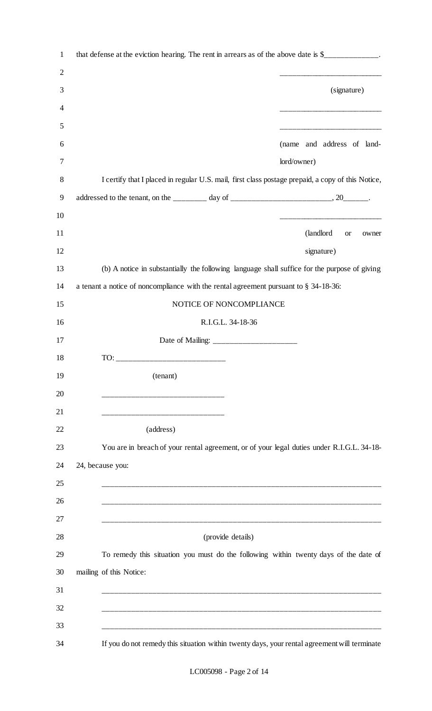| $\mathbf{1}$   | that defense at the eviction hearing. The rent in arrears as of the above date is \$_____________.                     |
|----------------|------------------------------------------------------------------------------------------------------------------------|
| $\overline{2}$ | <u> 1940 - Johann John Stone, mars eta bainar eta industrial eta industrial eta industrial eta industrial eta in</u>   |
| 3              | (signature)                                                                                                            |
| 4              | <u> 1940 - Johann John Stone, mars eta bainar</u>                                                                      |
| 5              | <u> 1999 - Johann John Harry Harry Harry Harry Harry Harry Harry Harry Harry Harry Harry Harry Harry Harry Harry H</u> |
| 6              | (name and address of land-                                                                                             |
| 7              | lord/owner)                                                                                                            |
| 8              | I certify that I placed in regular U.S. mail, first class postage prepaid, a copy of this Notice,                      |
| 9              |                                                                                                                        |
| 10             |                                                                                                                        |
| 11             | (landlord<br><b>or</b><br>owner                                                                                        |
| 12             | signature)                                                                                                             |
| 13             | (b) A notice in substantially the following language shall suffice for the purpose of giving                           |
| 14             | a tenant a notice of noncompliance with the rental agreement pursuant to § 34-18-36:                                   |
| 15             | NOTICE OF NONCOMPLIANCE                                                                                                |
| 16             | R.I.G.L. 34-18-36                                                                                                      |
| 17             |                                                                                                                        |
| 18             |                                                                                                                        |
| 19             | (tenant)                                                                                                               |
| 20             |                                                                                                                        |
| 21             |                                                                                                                        |
| 22             | (address)                                                                                                              |
| 23             | You are in breach of your rental agreement, or of your legal duties under R.I.G.L. 34-18-                              |
| 24             | 24, because you:                                                                                                       |
| 25             |                                                                                                                        |
| 26             |                                                                                                                        |
| 27             |                                                                                                                        |
| 28             | (provide details)                                                                                                      |
| 29             | To remedy this situation you must do the following within twenty days of the date of                                   |
| 30             | mailing of this Notice:                                                                                                |
| 31             |                                                                                                                        |
| 32             |                                                                                                                        |
| 33             |                                                                                                                        |
| 34             | If you do not remedy this situation within twenty days, your rental agreement will terminate                           |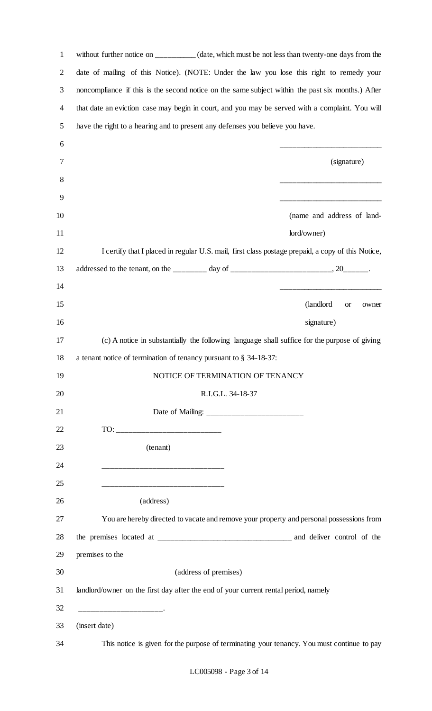| without further notice on _________(date, which must be not less than twenty-one days from the    |
|---------------------------------------------------------------------------------------------------|
| date of mailing of this Notice). (NOTE: Under the law you lose this right to remedy your          |
| noncompliance if this is the second notice on the same subject within the past six months.) After |
| that date an eviction case may begin in court, and you may be served with a complaint. You will   |
| have the right to a hearing and to present any defenses you believe you have.                     |
|                                                                                                   |
| (signature)                                                                                       |
|                                                                                                   |
|                                                                                                   |
| (name and address of land-                                                                        |
| lord/owner)                                                                                       |
| I certify that I placed in regular U.S. mail, first class postage prepaid, a copy of this Notice, |
|                                                                                                   |
|                                                                                                   |
| (landlord)<br><b>or</b><br>owner                                                                  |
| signature)                                                                                        |
| (c) A notice in substantially the following language shall suffice for the purpose of giving      |
| a tenant notice of termination of tenancy pursuant to $\S$ 34-18-37:                              |
| NOTICE OF TERMINATION OF TENANCY                                                                  |
| R.I.G.L. 34-18-37                                                                                 |
|                                                                                                   |
|                                                                                                   |
|                                                                                                   |
|                                                                                                   |
|                                                                                                   |
|                                                                                                   |
| You are hereby directed to vacate and remove your property and personal possessions from          |
|                                                                                                   |
|                                                                                                   |
|                                                                                                   |
| landlord/owner on the first day after the end of your current rental period, namely               |
|                                                                                                   |
| This notice is given for the purpose of terminating your tenancy. You must continue to pay        |
| (address of premises)                                                                             |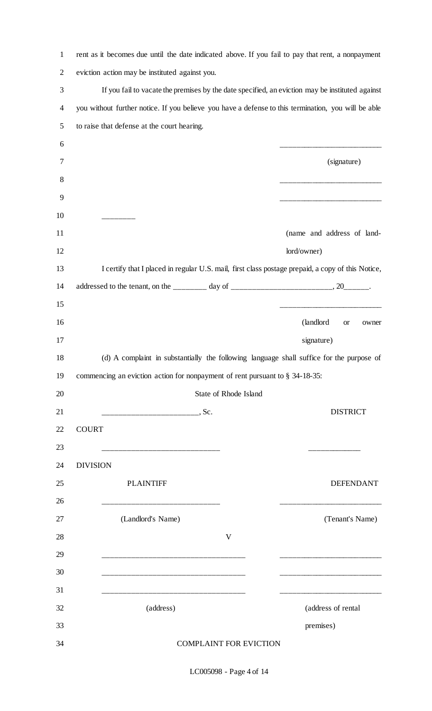| $\mathbf{1}$   | rent as it becomes due until the date indicated above. If you fail to pay that rent, a nonpayment   |                                                                                                                      |
|----------------|-----------------------------------------------------------------------------------------------------|----------------------------------------------------------------------------------------------------------------------|
| $\overline{2}$ | eviction action may be instituted against you.                                                      |                                                                                                                      |
| 3              | If you fail to vacate the premises by the date specified, an eviction may be instituted against     |                                                                                                                      |
| $\overline{4}$ | you without further notice. If you believe you have a defense to this termination, you will be able |                                                                                                                      |
| 5              | to raise that defense at the court hearing.                                                         |                                                                                                                      |
| 6              |                                                                                                     |                                                                                                                      |
| 7              |                                                                                                     | (signature)                                                                                                          |
| 8              |                                                                                                     |                                                                                                                      |
| 9              |                                                                                                     |                                                                                                                      |
| 10             |                                                                                                     |                                                                                                                      |
| 11             |                                                                                                     | (name and address of land-                                                                                           |
| 12             |                                                                                                     | lord/owner)                                                                                                          |
| 13             | I certify that I placed in regular U.S. mail, first class postage prepaid, a copy of this Notice,   |                                                                                                                      |
| 14             |                                                                                                     |                                                                                                                      |
| 15             |                                                                                                     |                                                                                                                      |
| 16             |                                                                                                     | (landlord<br><b>or</b><br>owner                                                                                      |
| 17             |                                                                                                     | signature)                                                                                                           |
|                |                                                                                                     |                                                                                                                      |
| 18             |                                                                                                     | (d) A complaint in substantially the following language shall suffice for the purpose of                             |
| 19             | commencing an eviction action for nonpayment of rent pursuant to § 34-18-35:                        |                                                                                                                      |
| 20             | State of Rhode Island                                                                               |                                                                                                                      |
| 21             | --------------------------------. Sc.                                                               | <b>DISTRICT</b>                                                                                                      |
| 22             | <b>COURT</b>                                                                                        |                                                                                                                      |
| 23             |                                                                                                     |                                                                                                                      |
| 24             | <b>DIVISION</b>                                                                                     |                                                                                                                      |
| 25             | <b>PLAINTIFF</b>                                                                                    | <b>DEFENDANT</b>                                                                                                     |
| 26             |                                                                                                     | <u> 1990 - Johann John Harry Harry Harry Harry Harry Harry Harry Harry Harry Harry Harry Harry Harry Harry Harry</u> |
| 27             | (Landlord's Name)                                                                                   | (Tenant's Name)                                                                                                      |
| 28             | V                                                                                                   |                                                                                                                      |
| 29             |                                                                                                     |                                                                                                                      |
| 30             |                                                                                                     |                                                                                                                      |
| 31             |                                                                                                     |                                                                                                                      |
| 32             | (address)                                                                                           | (address of rental                                                                                                   |
| 33             |                                                                                                     | premises)                                                                                                            |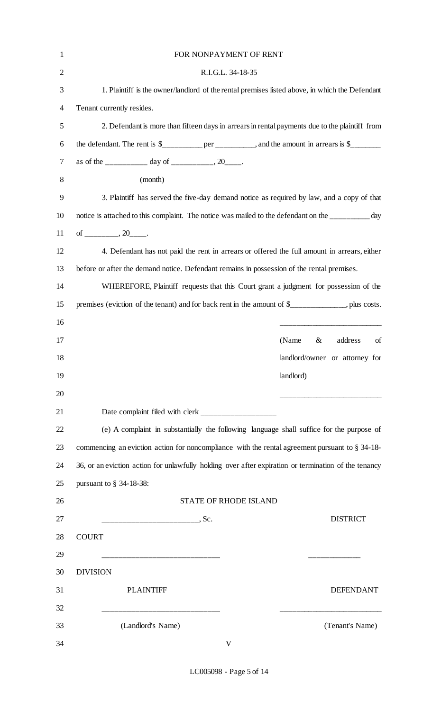| $\mathbf{1}$   | FOR NONPAYMENT OF RENT                                                                               |
|----------------|------------------------------------------------------------------------------------------------------|
| $\mathbf{2}$   | R.I.G.L. 34-18-35                                                                                    |
| 3              | 1. Plaintiff is the owner/landlord of the rental premises listed above, in which the Defendant       |
| $\overline{4}$ | Tenant currently resides.                                                                            |
| 5              | 2. Defendant is more than fifteen days in arrears in rental payments due to the plaintiff from       |
| 6              | the defendant. The rent is $\frac{1}{2}$ per _________, and the amount in arrears is $\frac{1}{2}$   |
| 7              | as of the __________ day of ___________, 20____.                                                     |
| 8              | (month)                                                                                              |
| 9              | 3. Plaintiff has served the five-day demand notice as required by law, and a copy of that            |
| 10             | notice is attached to this complaint. The notice was mailed to the defendant on the _________ day    |
| 11             | of _________, 20_____.                                                                               |
| 12             | 4. Defendant has not paid the rent in arrears or offered the full amount in arrears, either          |
| 13             | before or after the demand notice. Defendant remains in possession of the rental premises.           |
| 14             | WHEREFORE, Plaintiff requests that this Court grant a judgment for possession of the                 |
| 15             | premises (eviction of the tenant) and for back rent in the amount of \$___________, plus costs.      |
| 16             |                                                                                                      |
| 17             | address<br>(Name<br>of<br>&                                                                          |
| 18             | landlord/owner or attorney for                                                                       |
| 19             | landlord)                                                                                            |
| 20             |                                                                                                      |
| 21             |                                                                                                      |
| 22             | (e) A complaint in substantially the following language shall suffice for the purpose of             |
| 23             | commencing an eviction action for noncompliance with the rental agreement pursuant to $\S 34-18$     |
| 24             | 36, or an eviction action for unlawfully holding over after expiration or termination of the tenancy |
| 25             | pursuant to $\S$ 34-18-38:                                                                           |
| 26             | <b>STATE OF RHODE ISLAND</b>                                                                         |
| 27             | ---------------------------------. Sc.<br><b>DISTRICT</b>                                            |
| 28             | <b>COURT</b>                                                                                         |
| 29             |                                                                                                      |
| 30             | <b>DIVISION</b>                                                                                      |
| 31             | <b>PLAINTIFF</b><br><b>DEFENDANT</b>                                                                 |
| 32             |                                                                                                      |
| 33             | (Landlord's Name)<br>(Tenant's Name)                                                                 |
| 34             | $\mathbf{V}$                                                                                         |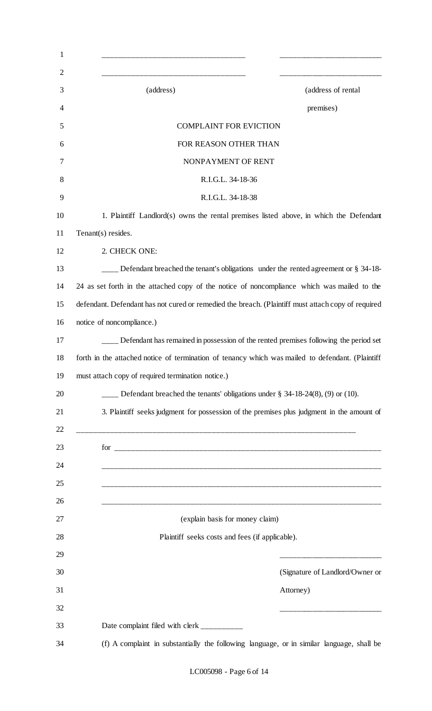| $\mathbf{1}$   |                                                                                                    |                                 |
|----------------|----------------------------------------------------------------------------------------------------|---------------------------------|
| $\overline{2}$ |                                                                                                    |                                 |
| 3              | (address)                                                                                          | (address of rental              |
| 4              |                                                                                                    | premises)                       |
| 5              | <b>COMPLAINT FOR EVICTION</b>                                                                      |                                 |
| 6              | FOR REASON OTHER THAN                                                                              |                                 |
| 7              | NONPAYMENT OF RENT                                                                                 |                                 |
| 8              | R.I.G.L. 34-18-36                                                                                  |                                 |
| 9              | R.I.G.L. 34-18-38                                                                                  |                                 |
| 10             | 1. Plaintiff Landlord(s) owns the rental premises listed above, in which the Defendant             |                                 |
| 11             | Tenant(s) resides.                                                                                 |                                 |
| 12             | 2. CHECK ONE:                                                                                      |                                 |
| 13             | Defendant breached the tenant's obligations under the rented agreement or § 34-18-                 |                                 |
| 14             | 24 as set forth in the attached copy of the notice of noncompliance which was mailed to the        |                                 |
| 15             | defendant. Defendant has not cured or remedied the breach. (Plaintiff must attach copy of required |                                 |
| 16             | notice of noncompliance.)                                                                          |                                 |
|                | ___ Defendant has remained in possession of the rented premises following the period set           |                                 |
| 18             | forth in the attached notice of termination of tenancy which was mailed to defendant. (Plaintiff   |                                 |
|                | must attach copy of required termination notice.)                                                  |                                 |
|                | Defendant breached the tenants' obligations under $\S$ 34-18-24(8), (9) or (10).                   |                                 |
|                | 3. Plaintiff seeks judgment for possession of the premises plus judgment in the amount of          |                                 |
|                |                                                                                                    |                                 |
|                |                                                                                                    |                                 |
|                |                                                                                                    |                                 |
|                |                                                                                                    |                                 |
|                |                                                                                                    |                                 |
| 27             | (explain basis for money claim)                                                                    |                                 |
| 28             | Plaintiff seeks costs and fees (if applicable).                                                    |                                 |
| 29             |                                                                                                    |                                 |
|                |                                                                                                    | (Signature of Landlord/Owner or |
|                |                                                                                                    |                                 |
| 30             |                                                                                                    |                                 |
|                |                                                                                                    | Attorney)                       |
|                | Date complaint filed with clerk __________                                                         |                                 |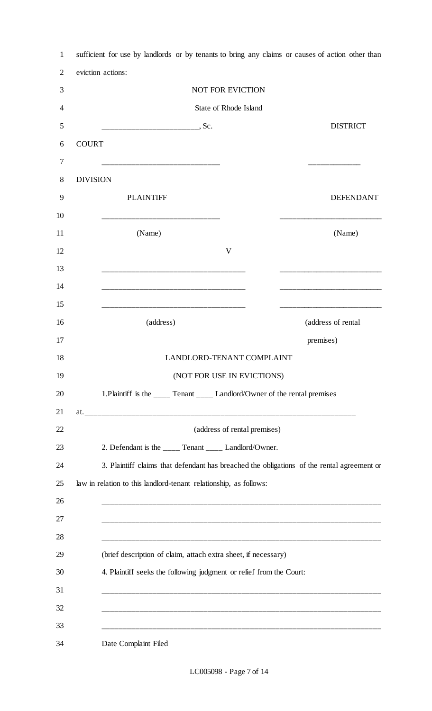| eviction actions:<br><b>NOT FOR EVICTION</b><br>State of Rhode Island                                                   |                                                                                                                                                                                                                                                                                                                                                                                                                                                                                                          |
|-------------------------------------------------------------------------------------------------------------------------|----------------------------------------------------------------------------------------------------------------------------------------------------------------------------------------------------------------------------------------------------------------------------------------------------------------------------------------------------------------------------------------------------------------------------------------------------------------------------------------------------------|
|                                                                                                                         |                                                                                                                                                                                                                                                                                                                                                                                                                                                                                                          |
|                                                                                                                         |                                                                                                                                                                                                                                                                                                                                                                                                                                                                                                          |
|                                                                                                                         |                                                                                                                                                                                                                                                                                                                                                                                                                                                                                                          |
|                                                                                                                         | <b>DISTRICT</b>                                                                                                                                                                                                                                                                                                                                                                                                                                                                                          |
|                                                                                                                         |                                                                                                                                                                                                                                                                                                                                                                                                                                                                                                          |
|                                                                                                                         |                                                                                                                                                                                                                                                                                                                                                                                                                                                                                                          |
| <b>DIVISION</b>                                                                                                         |                                                                                                                                                                                                                                                                                                                                                                                                                                                                                                          |
| <b>PLAINTIFF</b>                                                                                                        | <b>DEFENDANT</b>                                                                                                                                                                                                                                                                                                                                                                                                                                                                                         |
|                                                                                                                         |                                                                                                                                                                                                                                                                                                                                                                                                                                                                                                          |
| (Name)                                                                                                                  | (Name)                                                                                                                                                                                                                                                                                                                                                                                                                                                                                                   |
| $\mathbf{V}$                                                                                                            |                                                                                                                                                                                                                                                                                                                                                                                                                                                                                                          |
|                                                                                                                         |                                                                                                                                                                                                                                                                                                                                                                                                                                                                                                          |
| .<br>In the following the following the following the following the following the following the following the following |                                                                                                                                                                                                                                                                                                                                                                                                                                                                                                          |
|                                                                                                                         |                                                                                                                                                                                                                                                                                                                                                                                                                                                                                                          |
| (address)                                                                                                               | (address of rental                                                                                                                                                                                                                                                                                                                                                                                                                                                                                       |
|                                                                                                                         | premises)                                                                                                                                                                                                                                                                                                                                                                                                                                                                                                |
| LANDLORD-TENANT COMPLAINT                                                                                               |                                                                                                                                                                                                                                                                                                                                                                                                                                                                                                          |
| (NOT FOR USE IN EVICTIONS)                                                                                              |                                                                                                                                                                                                                                                                                                                                                                                                                                                                                                          |
|                                                                                                                         |                                                                                                                                                                                                                                                                                                                                                                                                                                                                                                          |
|                                                                                                                         |                                                                                                                                                                                                                                                                                                                                                                                                                                                                                                          |
|                                                                                                                         |                                                                                                                                                                                                                                                                                                                                                                                                                                                                                                          |
|                                                                                                                         |                                                                                                                                                                                                                                                                                                                                                                                                                                                                                                          |
|                                                                                                                         |                                                                                                                                                                                                                                                                                                                                                                                                                                                                                                          |
|                                                                                                                         |                                                                                                                                                                                                                                                                                                                                                                                                                                                                                                          |
|                                                                                                                         |                                                                                                                                                                                                                                                                                                                                                                                                                                                                                                          |
|                                                                                                                         |                                                                                                                                                                                                                                                                                                                                                                                                                                                                                                          |
|                                                                                                                         |                                                                                                                                                                                                                                                                                                                                                                                                                                                                                                          |
|                                                                                                                         |                                                                                                                                                                                                                                                                                                                                                                                                                                                                                                          |
|                                                                                                                         |                                                                                                                                                                                                                                                                                                                                                                                                                                                                                                          |
|                                                                                                                         |                                                                                                                                                                                                                                                                                                                                                                                                                                                                                                          |
|                                                                                                                         |                                                                                                                                                                                                                                                                                                                                                                                                                                                                                                          |
|                                                                                                                         |                                                                                                                                                                                                                                                                                                                                                                                                                                                                                                          |
|                                                                                                                         | 1. Plaintiff is the ____ Tenant ____ Landlord/Owner of the rental premises<br>(address of rental premises)<br>2. Defendant is the _____ Tenant _____ Landlord/Owner.<br>3. Plaintiff claims that defendant has breached the obligations of the rental agreement or<br>law in relation to this landlord-tenant relationship, as follows:<br>(brief description of claim, attach extra sheet, if necessary)<br>4. Plaintiff seeks the following judgment or relief from the Court:<br>Date Complaint Filed |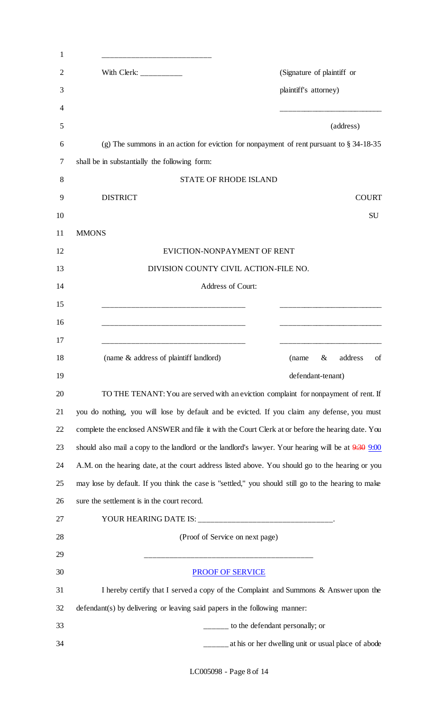| 1  |                                                                                                         |
|----|---------------------------------------------------------------------------------------------------------|
| 2  | (Signature of plaintiff or<br>With Clerk: $\frac{1}{2}$                                                 |
| 3  | plaintiff's attorney)                                                                                   |
| 4  |                                                                                                         |
| 5  | (address)                                                                                               |
| 6  | (g) The summons in an action for eviction for nonpayment of rent pursuant to $\S 34-18-35$              |
| 7  | shall be in substantially the following form:                                                           |
| 8  | <b>STATE OF RHODE ISLAND</b>                                                                            |
| 9  | <b>DISTRICT</b><br><b>COURT</b>                                                                         |
| 10 | <b>SU</b>                                                                                               |
| 11 | <b>MMONS</b>                                                                                            |
| 12 | EVICTION-NONPAYMENT OF RENT                                                                             |
| 13 | DIVISION COUNTY CIVIL ACTION-FILE NO.                                                                   |
| 14 | Address of Court:                                                                                       |
| 15 |                                                                                                         |
| 16 |                                                                                                         |
| 17 |                                                                                                         |
| 18 | (name & address of plaintiff landlord)<br>address<br>of<br>$\&$<br>(name                                |
| 19 | defendant-tenant)                                                                                       |
| 20 | TO THE TENANT: You are served with an eviction complaint for nonpayment of rent. If                     |
| 21 | you do nothing, you will lose by default and be evicted. If you claim any defense, you must             |
| 22 | complete the enclosed ANSWER and file it with the Court Clerk at or before the hearing date. You        |
| 23 | should also mail a copy to the landlord or the landlord's lawyer. Your hearing will be at $9.30$ $9.00$ |
| 24 | A.M. on the hearing date, at the court address listed above. You should go to the hearing or you        |
| 25 | may lose by default. If you think the case is "settled," you should still go to the hearing to make     |
| 26 | sure the settlement is in the court record.                                                             |
| 27 |                                                                                                         |
| 28 | (Proof of Service on next page)                                                                         |
| 29 |                                                                                                         |
| 30 | <b>PROOF OF SERVICE</b>                                                                                 |
| 31 | I hereby certify that I served a copy of the Complaint and Summons & Answer upon the                    |
| 32 | defendant(s) by delivering or leaving said papers in the following manner:                              |
| 33 | ______ to the defendant personally; or                                                                  |
| 34 | ______ at his or her dwelling unit or usual place of abode                                              |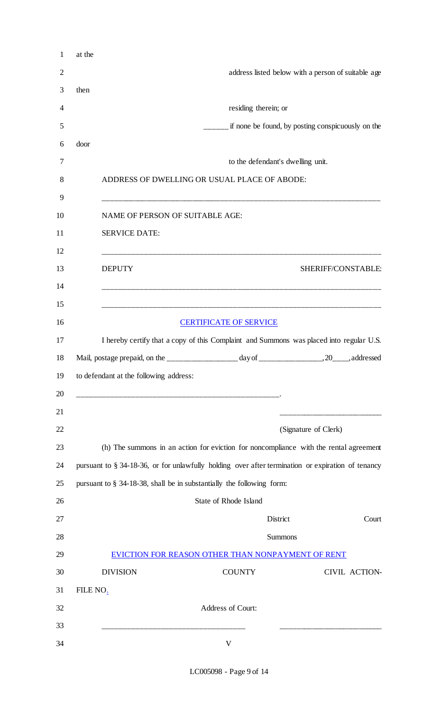|                      |                                                                                                   | address listed below with a person of suitable age                                                                                                                                                                                                    |
|----------------------|---------------------------------------------------------------------------------------------------|-------------------------------------------------------------------------------------------------------------------------------------------------------------------------------------------------------------------------------------------------------|
|                      |                                                                                                   |                                                                                                                                                                                                                                                       |
|                      | residing therein; or                                                                              |                                                                                                                                                                                                                                                       |
|                      |                                                                                                   | if none be found, by posting conspicuously on the                                                                                                                                                                                                     |
|                      |                                                                                                   |                                                                                                                                                                                                                                                       |
|                      | to the defendant's dwelling unit.                                                                 |                                                                                                                                                                                                                                                       |
|                      |                                                                                                   |                                                                                                                                                                                                                                                       |
|                      |                                                                                                   |                                                                                                                                                                                                                                                       |
| <b>SERVICE DATE:</b> |                                                                                                   |                                                                                                                                                                                                                                                       |
| <b>DEPUTY</b>        |                                                                                                   | SHERIFF/CONSTABLE:                                                                                                                                                                                                                                    |
|                      |                                                                                                   |                                                                                                                                                                                                                                                       |
|                      |                                                                                                   |                                                                                                                                                                                                                                                       |
|                      |                                                                                                   |                                                                                                                                                                                                                                                       |
|                      |                                                                                                   |                                                                                                                                                                                                                                                       |
|                      |                                                                                                   |                                                                                                                                                                                                                                                       |
|                      |                                                                                                   |                                                                                                                                                                                                                                                       |
|                      |                                                                                                   |                                                                                                                                                                                                                                                       |
|                      |                                                                                                   |                                                                                                                                                                                                                                                       |
|                      |                                                                                                   | (Signature of Clerk)                                                                                                                                                                                                                                  |
|                      | (h) The summons in an action for eviction for noncompliance with the rental agreement             |                                                                                                                                                                                                                                                       |
|                      | pursuant to § 34-18-36, or for unlawfully holding over after termination or expiration of tenancy |                                                                                                                                                                                                                                                       |
|                      | pursuant to § 34-18-38, shall be in substantially the following form:                             |                                                                                                                                                                                                                                                       |
|                      | State of Rhode Island                                                                             |                                                                                                                                                                                                                                                       |
|                      | District                                                                                          |                                                                                                                                                                                                                                                       |
|                      | <b>Summons</b>                                                                                    |                                                                                                                                                                                                                                                       |
|                      | EVICTION FOR REASON OTHER THAN NONPAYMENT OF RENT                                                 |                                                                                                                                                                                                                                                       |
| <b>DIVISION</b>      | <b>COUNTY</b>                                                                                     |                                                                                                                                                                                                                                                       |
| FILE NO.             |                                                                                                   | Court<br>CIVIL ACTION-                                                                                                                                                                                                                                |
|                      | Address of Court:                                                                                 |                                                                                                                                                                                                                                                       |
|                      |                                                                                                   | ADDRESS OF DWELLING OR USUAL PLACE OF ABODE:<br>NAME OF PERSON OF SUITABLE AGE:<br><b>CERTIFICATE OF SERVICE</b><br>I hereby certify that a copy of this Complaint and Summons was placed into regular U.S.<br>to defendant at the following address: |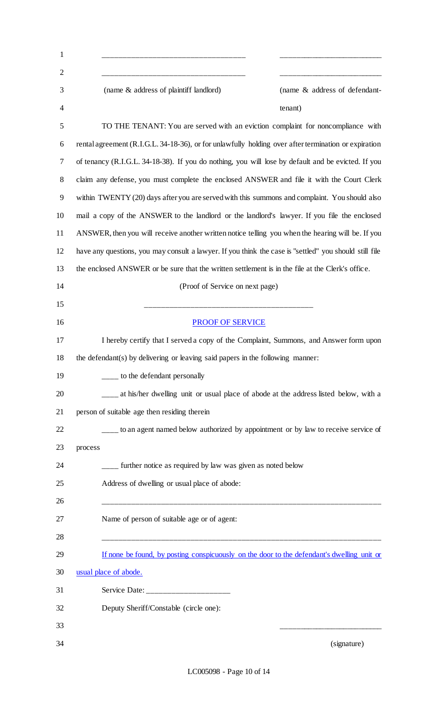| $\mathbf{1}$   |                                                                                                        |
|----------------|--------------------------------------------------------------------------------------------------------|
| $\overline{2}$ |                                                                                                        |
| 3              | (name & address of plaintiff landlord)<br>(name & address of defendant-                                |
| 4              | tenant)                                                                                                |
| 5              | TO THE TENANT: You are served with an eviction complaint for noncompliance with                        |
| 6              | rental agreement (R.I.G.L. 34-18-36), or for unlawfully holding over after termination or expiration   |
| 7              | of tenancy (R.I.G.L. 34-18-38). If you do nothing, you will lose by default and be evicted. If you     |
| 8              | claim any defense, you must complete the enclosed ANSWER and file it with the Court Clerk              |
| 9              | within TWENTY (20) days after you are served with this summons and complaint. You should also          |
| 10             | mail a copy of the ANSWER to the landlord or the landlord's lawyer. If you file the enclosed           |
| 11             | ANSWER, then you will receive another written notice telling you when the hearing will be. If you      |
| 12             | have any questions, you may consult a lawyer. If you think the case is "settled" you should still file |
| 13             | the enclosed ANSWER or be sure that the written settlement is in the file at the Clerk's office.       |
| 14             | (Proof of Service on next page)                                                                        |
| 15             |                                                                                                        |
| 16             | <b>PROOF OF SERVICE</b>                                                                                |
| 17             | I hereby certify that I served a copy of the Complaint, Summons, and Answer form upon                  |
| 18             | the defendant(s) by delivering or leaving said papers in the following manner:                         |
| 19             | <sub>1</sub> to the defendant personally                                                               |
| 20             | at his/her dwelling unit or usual place of abode at the address listed below, with a                   |
| 21             | person of suitable age then residing therein                                                           |
| 22             | ___ to an agent named below authorized by appointment or by law to receive service of                  |
| 23             | process                                                                                                |
| 24             | ____ further notice as required by law was given as noted below                                        |
| 25             | Address of dwelling or usual place of abode:                                                           |
| 26             |                                                                                                        |
| 27             | Name of person of suitable age or of agent:                                                            |
| 28             |                                                                                                        |
| 29             | If none be found, by posting conspicuously on the door to the defendant's dwelling unit or             |
| 30             | usual place of abode.                                                                                  |
| 31             | Service Date: _____________________                                                                    |
| 32             | Deputy Sheriff/Constable (circle one):                                                                 |
| 33             |                                                                                                        |
| 34             | (signature)                                                                                            |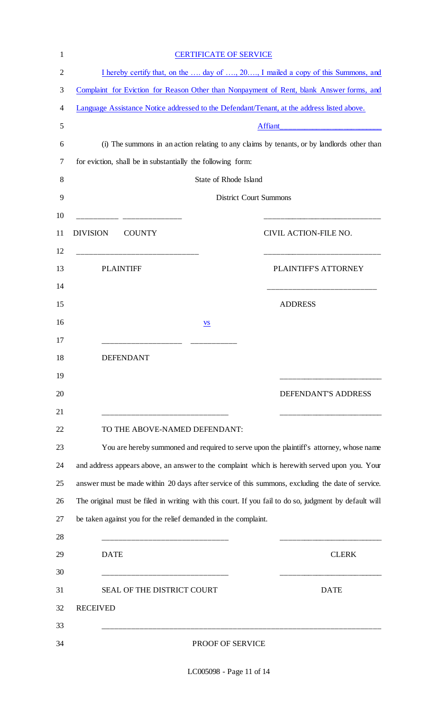|                                                                                            | <b>CERTIFICATE OF SERVICE</b>                                                           |                                                                                                                                                                                                                                                                                                            |  |
|--------------------------------------------------------------------------------------------|-----------------------------------------------------------------------------------------|------------------------------------------------------------------------------------------------------------------------------------------------------------------------------------------------------------------------------------------------------------------------------------------------------------|--|
|                                                                                            |                                                                                         | I hereby certify that, on the  day of , 20, I mailed a copy of this Summons, and                                                                                                                                                                                                                           |  |
| Complaint for Eviction for Reason Other than Nonpayment of Rent, blank Answer forms, and   |                                                                                         |                                                                                                                                                                                                                                                                                                            |  |
| Language Assistance Notice addressed to the Defendant/Tenant, at the address listed above. |                                                                                         |                                                                                                                                                                                                                                                                                                            |  |
|                                                                                            |                                                                                         | Affiant_                                                                                                                                                                                                                                                                                                   |  |
| (i) The summons in an action relating to any claims by tenants, or by landlords other than |                                                                                         |                                                                                                                                                                                                                                                                                                            |  |
|                                                                                            | for eviction, shall be in substantially the following form:                             |                                                                                                                                                                                                                                                                                                            |  |
|                                                                                            |                                                                                         | State of Rhode Island                                                                                                                                                                                                                                                                                      |  |
|                                                                                            |                                                                                         | <b>District Court Summons</b>                                                                                                                                                                                                                                                                              |  |
|                                                                                            |                                                                                         |                                                                                                                                                                                                                                                                                                            |  |
| <b>DIVISION</b>                                                                            | <b>COUNTY</b>                                                                           | CIVIL ACTION-FILE NO.                                                                                                                                                                                                                                                                                      |  |
|                                                                                            | <b>PLAINTIFF</b>                                                                        | PLAINTIFF'S ATTORNEY                                                                                                                                                                                                                                                                                       |  |
|                                                                                            |                                                                                         | <b>ADDRESS</b>                                                                                                                                                                                                                                                                                             |  |
|                                                                                            | <b>VS</b>                                                                               |                                                                                                                                                                                                                                                                                                            |  |
|                                                                                            |                                                                                         |                                                                                                                                                                                                                                                                                                            |  |
|                                                                                            | <b>DEFENDANT</b>                                                                        |                                                                                                                                                                                                                                                                                                            |  |
|                                                                                            |                                                                                         |                                                                                                                                                                                                                                                                                                            |  |
|                                                                                            |                                                                                         | DEFENDANT'S ADDRESS                                                                                                                                                                                                                                                                                        |  |
|                                                                                            | TO THE ABOVE-NAMED DEFENDANT:                                                           |                                                                                                                                                                                                                                                                                                            |  |
|                                                                                            | You are hereby summoned and required to serve upon the plaintiff's attorney, whose name |                                                                                                                                                                                                                                                                                                            |  |
|                                                                                            |                                                                                         |                                                                                                                                                                                                                                                                                                            |  |
|                                                                                            |                                                                                         |                                                                                                                                                                                                                                                                                                            |  |
|                                                                                            |                                                                                         |                                                                                                                                                                                                                                                                                                            |  |
|                                                                                            |                                                                                         |                                                                                                                                                                                                                                                                                                            |  |
|                                                                                            | be taken against you for the relief demanded in the complaint.                          |                                                                                                                                                                                                                                                                                                            |  |
|                                                                                            |                                                                                         |                                                                                                                                                                                                                                                                                                            |  |
|                                                                                            | <b>DATE</b>                                                                             | <b>CLERK</b>                                                                                                                                                                                                                                                                                               |  |
|                                                                                            |                                                                                         |                                                                                                                                                                                                                                                                                                            |  |
|                                                                                            | SEAL OF THE DISTRICT COURT                                                              | <b>DATE</b>                                                                                                                                                                                                                                                                                                |  |
| <b>RECEIVED</b>                                                                            |                                                                                         | and address appears above, an answer to the complaint which is herewith served upon you. Your<br>answer must be made within 20 days after service of this summons, excluding the date of service.<br>The original must be filed in writing with this court. If you fail to do so, judgment by default will |  |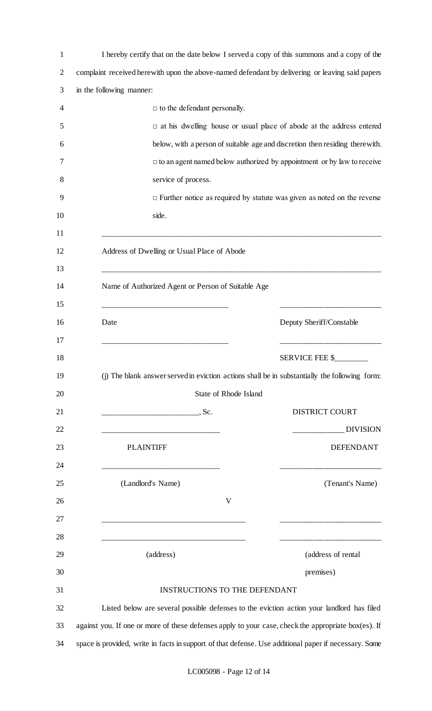| 1              | I hereby certify that on the date below I served a copy of this summons and a copy of the             |
|----------------|-------------------------------------------------------------------------------------------------------|
| $\overline{2}$ | complaint received herewith upon the above-named defendant by delivering or leaving said papers       |
| 3              | in the following manner:                                                                              |
| 4              | $\Box$ to the defendant personally.                                                                   |
| 5              | $\Box$ at his dwelling house or usual place of abode at the address entered                           |
| 6              | below, with a person of suitable age and discretion then residing therewith.                          |
| 7              | $\Box$ to an agent named below authorized by appointment or by law to receive                         |
| 8              | service of process.                                                                                   |
| 9              | $\Box$ Further notice as required by statute was given as noted on the reverse                        |
| 10             | side.                                                                                                 |
| 11<br>12<br>13 | Address of Dwelling or Usual Place of Abode                                                           |
| 14<br>15       | Name of Authorized Agent or Person of Suitable Age                                                    |
| 16<br>17       | Date<br>Deputy Sheriff/Constable                                                                      |
| 18             | SERVICE FEE \$                                                                                        |
| 19             | (j) The blank answer served in eviction actions shall be in substantially the following form:         |
| 20             | State of Rhode Island                                                                                 |
| 21             | <b>DISTRICT COURT</b>                                                                                 |
| 22             | <b>DIVISION</b>                                                                                       |
| 23             | <b>DEFENDANT</b><br><b>PLAINTIFF</b>                                                                  |
| 24             |                                                                                                       |
| 25             | (Landlord's Name)<br>(Tenant's Name)                                                                  |
| 26             | V                                                                                                     |
| 27             |                                                                                                       |
| 28             |                                                                                                       |
| 29             | (address of rental<br>(address)                                                                       |
| 30             | premises)                                                                                             |
| 31             | <b>INSTRUCTIONS TO THE DEFENDANT</b>                                                                  |
| 32             | Listed below are several possible defenses to the eviction action your landlord has filed             |
| 33             | against you. If one or more of these defenses apply to your case, check the appropriate box(es). If   |
| 34             | space is provided, write in facts in support of that defense. Use additional paper if necessary. Some |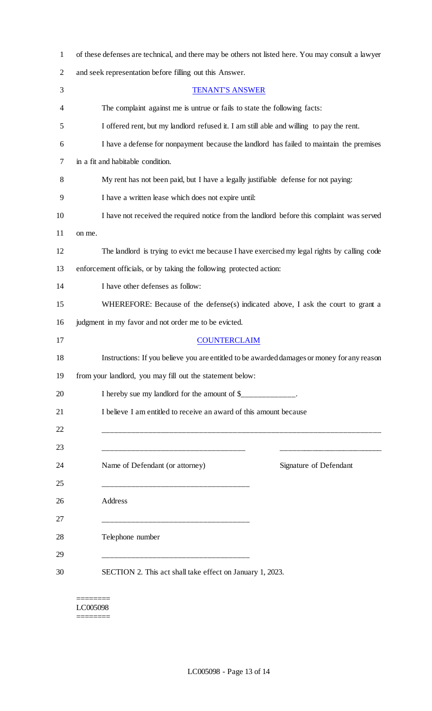| $\mathbf 1$    | of these defenses are technical, and there may be others not listed here. You may consult a lawyer |
|----------------|----------------------------------------------------------------------------------------------------|
| $\overline{2}$ | and seek representation before filling out this Answer.                                            |
| 3              | <b>TENANT'S ANSWER</b>                                                                             |
| 4              | The complaint against me is untrue or fails to state the following facts:                          |
| 5              | I offered rent, but my landlord refused it. I am still able and willing to pay the rent.           |
| 6              | I have a defense for nonpayment because the landlord has failed to maintain the premises           |
| 7              | in a fit and habitable condition.                                                                  |
| 8              | My rent has not been paid, but I have a legally justifiable defense for not paying:                |
| 9              | I have a written lease which does not expire until:                                                |
| 10             | I have not received the required notice from the landlord before this complaint was served         |
| 11             | on me.                                                                                             |
| 12             | The landlord is trying to evict me because I have exercised my legal rights by calling code        |
| 13             | enforcement officials, or by taking the following protected action:                                |
| 14             | I have other defenses as follow:                                                                   |
| 15             | WHEREFORE: Because of the defense(s) indicated above, I ask the court to grant a                   |
| 16             | judgment in my favor and not order me to be evicted.                                               |
| 17             | <b>COUNTERCLAIM</b>                                                                                |
| 18             | Instructions: If you believe you are entitled to be awarded damages or money for any reason        |
| 19             | from your landlord, you may fill out the statement below:                                          |
| 20             | I hereby sue my landlord for the amount of \$_____________.                                        |
| 21             | I believe I am entitled to receive an award of this amount because                                 |
| 22             |                                                                                                    |
| 23             |                                                                                                    |
| 24             | Signature of Defendant<br>Name of Defendant (or attorney)                                          |
| 25             |                                                                                                    |
| 26             | Address                                                                                            |
| 27             |                                                                                                    |
| 28             | Telephone number                                                                                   |
| 29             |                                                                                                    |
| 30             | SECTION 2. This act shall take effect on January 1, 2023.                                          |
|                |                                                                                                    |

======== LC005098  $=$